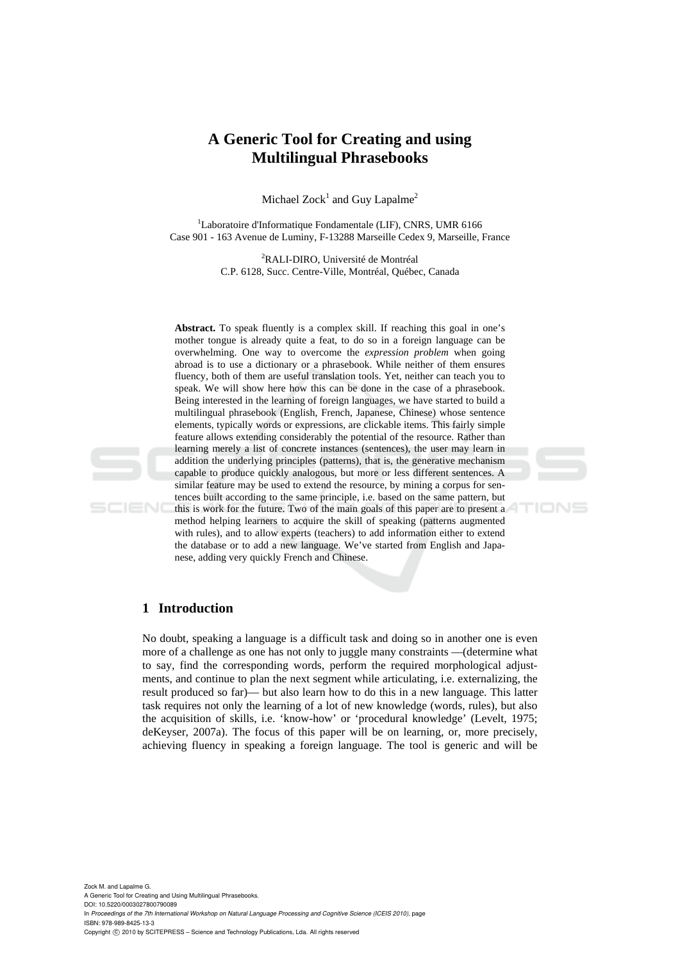# **A Generic Tool for Creating and using Multilingual Phrasebooks**

Michael  $Zock<sup>1</sup>$  and Guy Lapalme<sup>2</sup>

<sup>1</sup>Laboratoire d'Informatique Fondamentale (LIF), CNRS, UMR 6166 Case 901 - 163 Avenue de Luminy, F-13288 Marseille Cedex 9, Marseille, France

> 2 RALI-DIRO, Université de Montréal C.P. 6128, Succ. Centre-Ville, Montréal, Québec, Canada

Abstract. To speak fluently is a complex skill. If reaching this goal in one's mother tongue is already quite a feat, to do so in a foreign language can be overwhelming. One way to overcome the *expression problem* when going abroad is to use a dictionary or a phrasebook. While neither of them ensures fluency, both of them are useful translation tools. Yet, neither can teach you to speak. We will show here how this can be done in the case of a phrasebook. Being interested in the learning of foreign languages, we have started to build a multilingual phrasebook (English, French, Japanese, Chinese) whose sentence elements, typically words or expressions, are clickable items. This fairly simple feature allows extending considerably the potential of the resource. Rather than learning merely a list of concrete instances (sentences), the user may learn in addition the underlying principles (patterns), that is, the generative mechanism capable to produce quickly analogous, but more or less different sentences. A similar feature may be used to extend the resource, by mining a corpus for sentences built according to the same principle, i.e. based on the same pattern, but this is work for the future. Two of the main goals of this paper are to present a method helping learners to acquire the skill of speaking (patterns augmented with rules), and to allow experts (teachers) to add information either to extend

TIONS

the database or to add a new language. We've started from English and Japanese, adding very quickly French and Chinese.

# **1 Introduction**

SCIENO

No doubt, speaking a language is a difficult task and doing so in another one is even more of a challenge as one has not only to juggle many constraints —(determine what to say, find the corresponding words, perform the required morphological adjustments, and continue to plan the next segment while articulating, i.e. externalizing, the result produced so far)— but also learn how to do this in a new language. This latter task requires not only the learning of a lot of new knowledge (words, rules), but also the acquisition of skills, i.e. 'know-how' or 'procedural knowledge' (Levelt, 1975; deKeyser, 2007a). The focus of this paper will be on learning, or, more precisely, achieving fluency in speaking a foreign language. The tool is generic and will be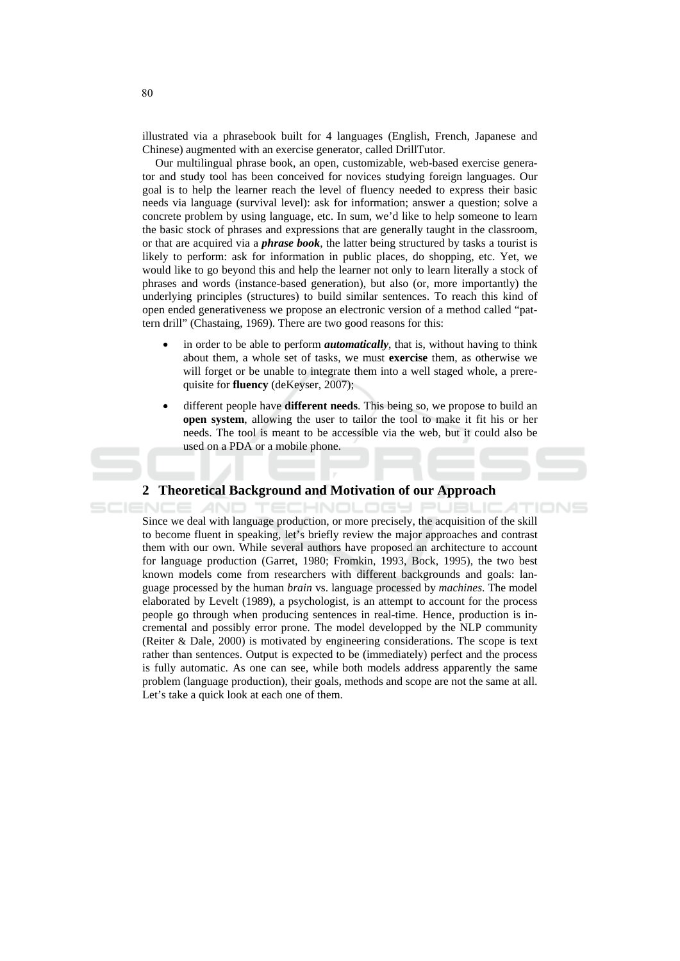illustrated via a phrasebook built for 4 languages (English, French, Japanese and Chinese) augmented with an exercise generator, called DrillTutor.

Our multilingual phrase book, an open, customizable, web-based exercise generator and study tool has been conceived for novices studying foreign languages. Our goal is to help the learner reach the level of fluency needed to express their basic needs via language (survival level): ask for information; answer a question; solve a concrete problem by using language, etc. In sum, we'd like to help someone to learn the basic stock of phrases and expressions that are generally taught in the classroom, or that are acquired via a *phrase book*, the latter being structured by tasks a tourist is likely to perform: ask for information in public places, do shopping, etc. Yet, we would like to go beyond this and help the learner not only to learn literally a stock of phrases and words (instance-based generation), but also (or, more importantly) the underlying principles (structures) to build similar sentences. To reach this kind of open ended generativeness we propose an electronic version of a method called "pattern drill" (Chastaing, 1969). There are two good reasons for this:

- in order to be able to perform *automatically*, that is, without having to think about them, a whole set of tasks, we must exercise them, as otherwise we will forget or be unable to integrate them into a well staged whole, a prerequisite for **fluency** (deKeyser, 2007);
- different people have different needs. This being so, we propose to build an **open system.** allowing the user to tailor the tool to make it fit his or her needs. The tool is meant to be accessible via the web, but it could also be used on a PDA or a mobile phone.

**ECHNOLOGY PUBLIC** 

TIONS

#### 2 Theoretical Background and Motivation of our Approach

AND

SCIENC Since we deal with language production, or more precisely, the acquisition of the skill to become fluent in speaking, let's briefly review the major approaches and contrast them with our own. While several authors have proposed an architecture to account for language production (Garret, 1980; Fromkin, 1993, Bock, 1995), the two best known models come from researchers with different backgrounds and goals: language processed by the human *brain* vs. language processed by *machines*. The model elaborated by Levelt (1989), a psychologist, is an attempt to account for the process people go through when producing sentences in real-time. Hence, production is incremental and possibly error prone. The model developped by the NLP community (Reiter & Dale, 2000) is motivated by engineering considerations. The scope is text rather than sentences. Output is expected to be (immediately) perfect and the process is fully automatic. As one can see, while both models address apparently the same problem (language production), their goals, methods and scope are not the same at all. Let's take a quick look at each one of them.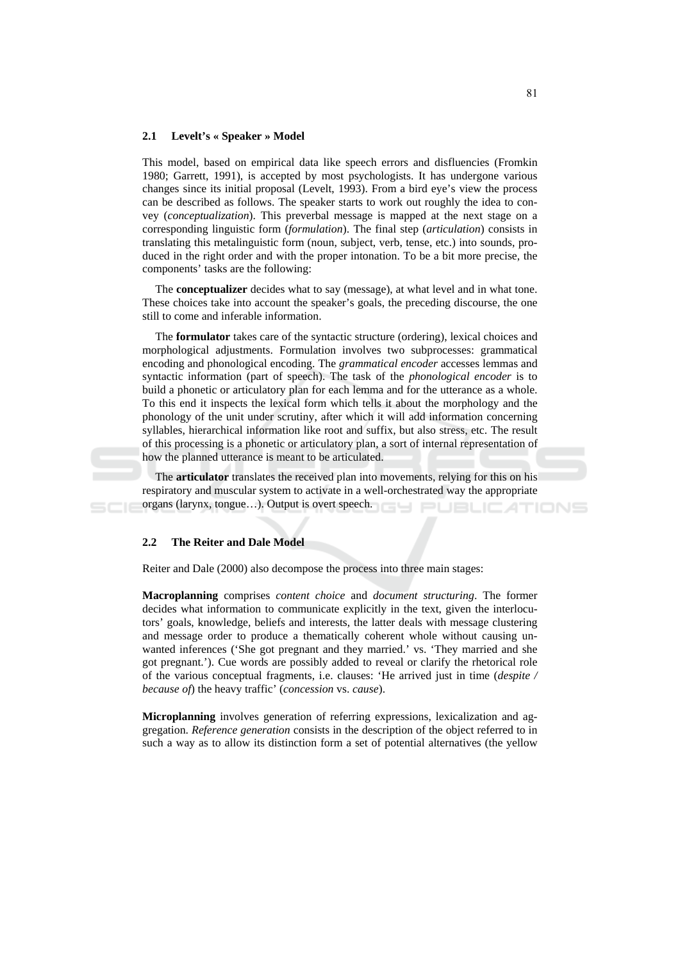#### $2.1$ Levelt's « Speaker » Model

This model, based on empirical data like speech errors and disfluencies (Fromkin 1980; Garrett, 1991), is accepted by most psychologists. It has undergone various changes since its initial proposal (Levelt, 1993). From a bird eye's view the process can be described as follows. The speaker starts to work out roughly the idea to convey (conceptualization). This preverbal message is mapped at the next stage on a corresponding linguistic form (formulation). The final step (articulation) consists in translating this metalinguistic form (noun, subject, verb, tense, etc.) into sounds, produced in the right order and with the proper intonation. To be a bit more precise, the components' tasks are the following:

The **conceptualizer** decides what to say (message), at what level and in what tone. These choices take into account the speaker's goals, the preceding discourse, the one still to come and inferable information.

The **formulator** takes care of the syntactic structure (ordering), lexical choices and morphological adjustments. Formulation involves two subprocesses: grammatical encoding and phonological encoding. The *grammatical encoder* accesses lemmas and syntactic information (part of speech). The task of the *phonological encoder* is to build a phonetic or articulatory plan for each lemma and for the utterance as a whole. To this end it inspects the lexical form which tells it about the morphology and the phonology of the unit under scrutiny, after which it will add information concerning syllables, hierarchical information like root and suffix, but also stress, etc. The result of this processing is a phonetic or articulatory plan, a sort of internal representation of how the planned utterance is meant to be articulated.

The **articulator** translates the received plan into movements, relying for this on his respiratory and muscular system to activate in a well-orchestrated way the appropriate organs (larynx, tongue...). Output is overt speech. TIONS

#### $2.2$ **The Reiter and Dale Model**

Reiter and Dale (2000) also decompose the process into three main stages:

Macroplanning comprises *content choice* and *document structuring*. The former decides what information to communicate explicitly in the text, given the interlocutors' goals, knowledge, beliefs and interests, the latter deals with message clustering and message order to produce a thematically coherent whole without causing unwanted inferences ('She got pregnant and they married.' vs. 'They married and she got pregnant.'). Cue words are possibly added to reveal or clarify the rhetorical role of the various conceptual fragments, i.e. clauses: 'He arrived just in time (despite / because of) the heavy traffic' (concession vs. cause).

Microplanning involves generation of referring expressions, lexicalization and aggregation. Reference generation consists in the description of the object referred to in such a way as to allow its distinction form a set of potential alternatives (the yellow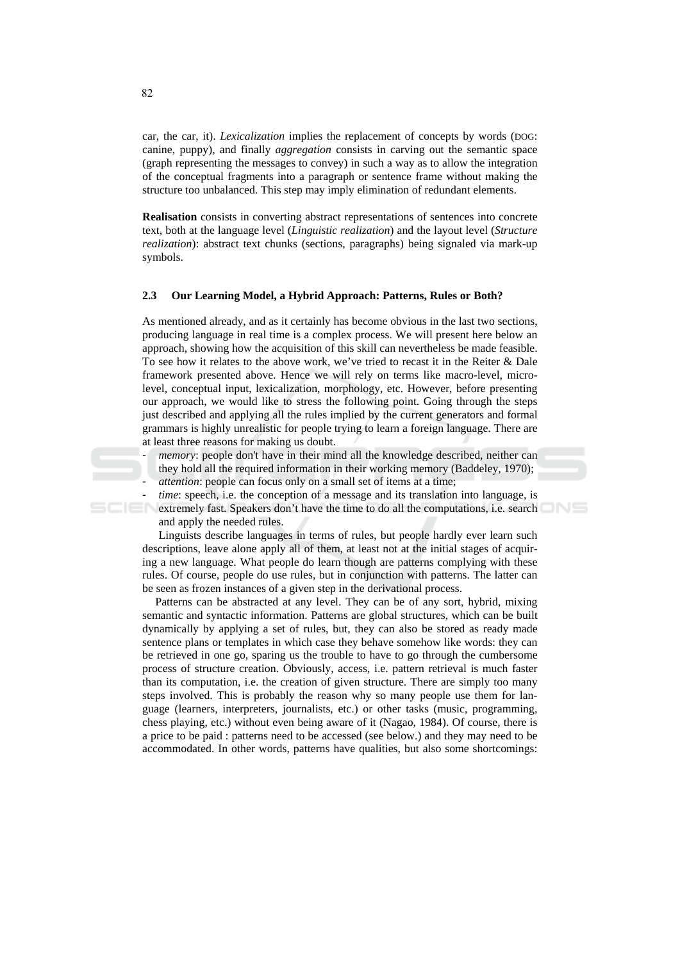car, the car, it). Lexicalization implies the replacement of concepts by words (DOG: canine, puppy), and finally *aggregation* consists in carving out the semantic space (graph representing the messages to convey) in such a way as to allow the integration of the conceptual fragments into a paragraph or sentence frame without making the structure too unbalanced. This step may imply elimination of redundant elements.

Realisation consists in converting abstract representations of sentences into concrete text, both at the language level *(Linguistic realization)* and the layout level *(Structure*) realization): abstract text chunks (sections, paragraphs) being signaled via mark-up symbols.

#### $2.3$ Our Learning Model, a Hybrid Approach: Patterns, Rules or Both?

As mentioned already, and as it certainly has become obvious in the last two sections, producing language in real time is a complex process. We will present here below an approach, showing how the acquisition of this skill can nevertheless be made feasible. To see how it relates to the above work, we've tried to recast it in the Reiter & Dale framework presented above. Hence we will rely on terms like macro-level, microlevel, conceptual input, lexicalization, morphology, etc. However, before presenting our approach, we would like to stress the following point. Going through the steps just described and applying all the rules implied by the current generators and formal grammars is highly unrealistic for people trying to learn a foreign language. There are at least three reasons for making us doubt.

*memory*: people don't have in their mind all the knowledge described, neither can they hold all the required information in their working memory (Baddeley, 1970);

*attention*: people can focus only on a small set of items at a time;

- *time*: speech, i.e. the conception of a message and its translation into language, is

extremely fast. Speakers don't have the time to do all the computations, i.e. search and apply the needed rules.

Linguists describe languages in terms of rules, but people hardly ever learn such descriptions, leave alone apply all of them, at least not at the initial stages of acquiring a new language. What people do learn though are patterns complying with these rules. Of course, people do use rules, but in conjunction with patterns. The latter can be seen as frozen instances of a given step in the derivational process.

Patterns can be abstracted at any level. They can be of any sort, hybrid, mixing semantic and syntactic information. Patterns are global structures, which can be built dynamically by applying a set of rules, but, they can also be stored as ready made sentence plans or templates in which case they behave somehow like words: they can be retrieved in one go, sparing us the trouble to have to go through the cumbersome process of structure creation. Obviously, access, *i.e.* pattern retrieval is much faster than its computation, i.e. the creation of given structure. There are simply too many steps involved. This is probably the reason why so many people use them for language (learners, interpreters, journalists, etc.) or other tasks (music, programming, chess playing, etc.) without even being aware of it (Nagao, 1984). Of course, there is a price to be paid : patterns need to be accessed (see below.) and they may need to be accommodated. In other words, patterns have qualities, but also some shortcomings:

82

 $\mathbf{r}$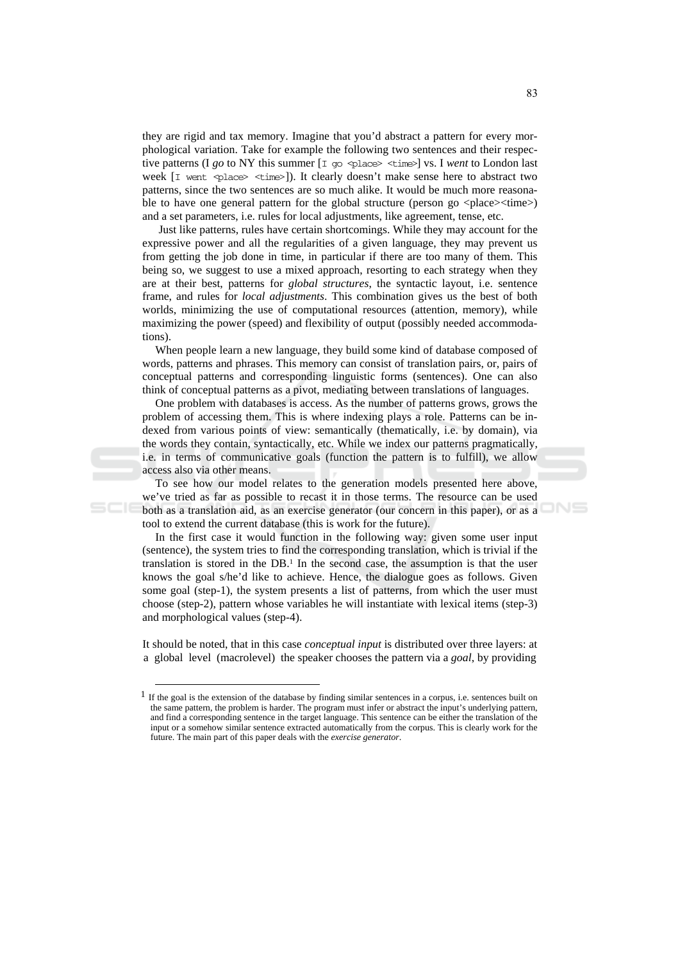they are rigid and tax memory. Imagine that you'd abstract a pattern for every morphological variation. Take for example the following two sentences and their respec-week [I went <place> <time>]). It clearly doesn't make sense here to abstract two patterns, since the two sentences are so much alike. It would be much more reasonable to have one general pattern for the global structure (person go <place> \time>) and a set parameters, i.e. rules for local adjustments, like agreement, tense, etc.

Just like patterns, rules have certain shortcomings. While they may account for the expressive power and all the regularities of a given language, they may prevent us from getting the job done in time, in particular if there are too many of them. This being so, we suggest to use a mixed approach, resorting to each strategy when they are at their best, patterns for *global structures*, the syntactic layout, i.e. sentence frame, and rules for *local adjustments*. This combination gives us the best of both worlds, minimizing the use of computational resources (attention, memory), while maximizing the power (speed) and flexibility of output (possibly needed accommodations).

When people learn a new language, they build some kind of database composed of words, patterns and phrases. This memory can consist of translation pairs, or, pairs of conceptual patterns and corresponding linguistic forms (sentences). One can also think of conceptual patterns as a pivot, mediating between translations of languages.

One problem with databases is access. As the number of patterns grows, grows the problem of accessing them. This is where indexing plays a role. Patterns can be indexed from various points of view: semantically (thematically, i.e. by domain), via the words they contain, syntactically, etc. While we index our patterns pragmatically, i.e. in terms of communicative goals (function the pattern is to fulfill), we allow access also via other means.

To see how our model relates to the generation models presented here above, we've tried as far as possible to recast it in those terms. The resource can be used both as a translation aid, as an exercise generator (our concern in this paper), or as a tool to extend the current database (this is work for the future).

In the first case it would function in the following way: given some user input (sentence), the system tries to find the corresponding translation, which is trivial if the translation is stored in the DB.<sup>1</sup> In the second case, the assumption is that the user knows the goal s/he'd like to achieve. Hence, the dialogue goes as follows. Given some goal (step-1), the system presents a list of patterns, from which the user must choose (step-2), pattern whose variables he will instantiate with lexical items (step-3) and morphological values (step-4).

It should be noted, that in this case *conceptual input* is distributed over three layers: at a global level (macrolevel) the speaker chooses the pattern via a goal, by providing

**JNS** 

 $1$  If the goal is the extension of the database by finding similar sentences in a corpus, i.e. sentences built on the same pattern, the problem is harder. The program must infer or abstract the input's underlying pattern, and find a corresponding sentence in the target language. This sentence can be either the translation of the input or a somehow similar sentence extracted automatically from the corpus. This is clearly work for the future. The main part of this paper deals with the exercise generator.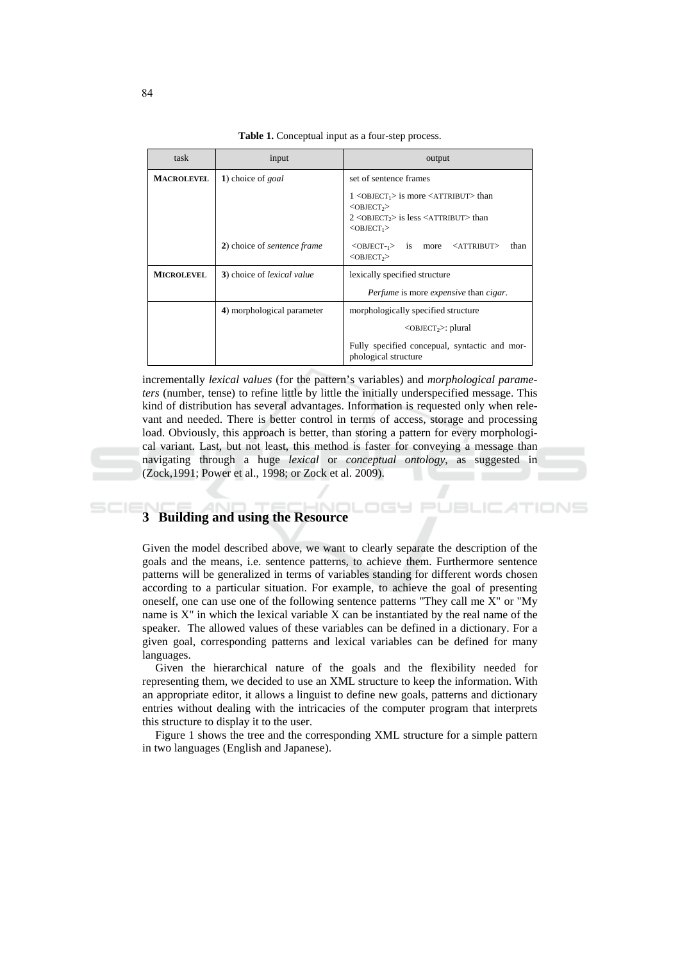|  | <b>Table 1.</b> Conceptual input as a four-step process. |
|--|----------------------------------------------------------|
|--|----------------------------------------------------------|

| task              | input                             | output                                                                                                                                                                                                                                                          |
|-------------------|-----------------------------------|-----------------------------------------------------------------------------------------------------------------------------------------------------------------------------------------------------------------------------------------------------------------|
| <b>MACROLEVEL</b> | 1) choice of goal                 | set of sentence frames                                                                                                                                                                                                                                          |
|                   |                                   | $1$ <object<sub>1&gt; is more <attribut> than<br/><math>&lt;</math>OBJECT<sub>2</sub>&gt;<br/><math>2</math> <object<sub>2&gt; is less <attribut> than<br/><math>&lt;</math>OBJECT<sub>1</sub><math>&gt;</math></attribut></object<sub></attribut></object<sub> |
|                   | 2) choice of sentence frame       | $\langle$ OBJECT- <sub>1</sub> $>$ is more<br><attribut><br/>than<br/><math>&lt;</math>OBJECT<sub>2</sub>&gt;</attribut>                                                                                                                                        |
| <b>MICROLEVEL</b> | 3) choice of <i>lexical value</i> | lexically specified structure                                                                                                                                                                                                                                   |
|                   |                                   | <i>Perfume</i> is more <i>expensive</i> than <i>cigar</i> .                                                                                                                                                                                                     |
|                   | 4) morphological parameter        | morphologically specified structure                                                                                                                                                                                                                             |
|                   |                                   | $<$ OBJECT <sub>2</sub> $>$ : plural                                                                                                                                                                                                                            |
|                   |                                   | Fully specified concepual, syntactic and mor-<br>phological structure                                                                                                                                                                                           |

incrementally *lexical values* (for the pattern's variables) and *morphological parame*ters (number, tense) to refine little by little the initially underspecified message. This kind of distribution has several advantages. Information is requested only when relevant and needed. There is better control in terms of access, storage and processing load. Obviously, this approach is better, than storing a pattern for every morphological variant. Last, but not least, this method is faster for conveying a message than navigating through a huge lexical or conceptual ontology, as suggested in (Zock, 1991; Power et al., 1998; or Zock et al. 2009).

76 S.

TIONS

### 3 Building and using the Resource

Given the model described above, we want to clearly separate the description of the goals and the means, *i.e.* sentence patterns, to achieve them. Furthermore sentence patterns will be generalized in terms of variables standing for different words chosen according to a particular situation. For example, to achieve the goal of presenting oneself, one can use one of the following sentence patterns "They call me X" or "My name is X" in which the lexical variable X can be instantiated by the real name of the speaker. The allowed values of these variables can be defined in a dictionary. For a given goal, corresponding patterns and lexical variables can be defined for many languages.

Given the hierarchical nature of the goals and the flexibility needed for representing them, we decided to use an XML structure to keep the information. With an appropriate editor, it allows a linguist to define new goals, patterns and dictionary entries without dealing with the intricacies of the computer program that interprets this structure to display it to the user.

Figure 1 shows the tree and the corresponding XML structure for a simple pattern in two languages (English and Japanese).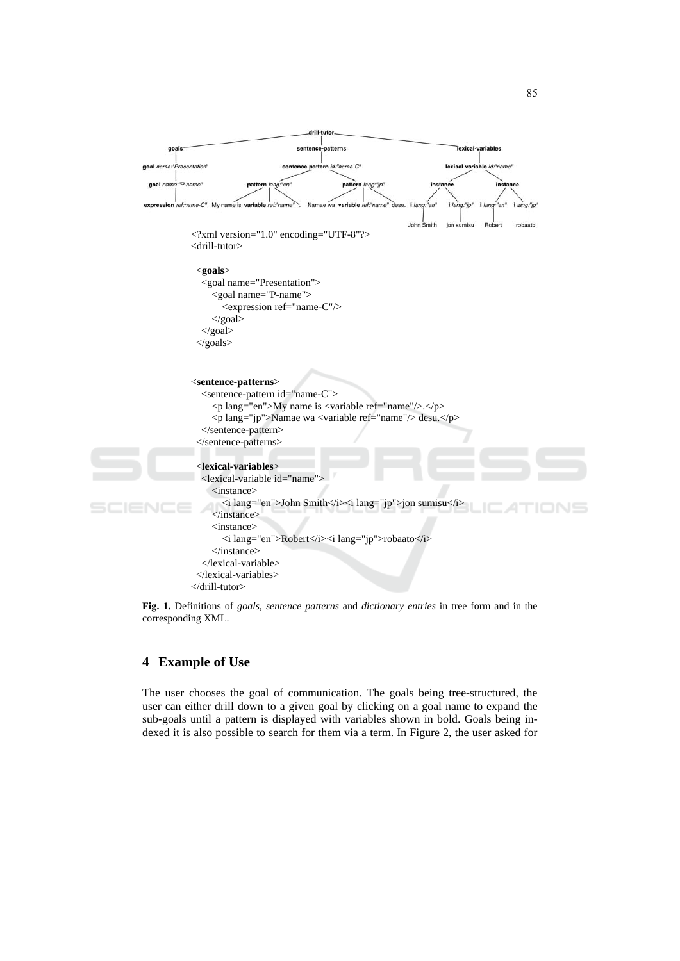

Fig. 1. Definitions of *goals, sentence patterns* and *dictionary entries* in tree form and in the corresponding XML.

### 4 Example of Use

The user chooses the goal of communication. The goals being tree-structured, the user can either drill down to a given goal by clicking on a goal name to expand the sub-goals until a pattern is displayed with variables shown in bold. Goals being indexed it is also possible to search for them via a term. In Figure 2, the user asked for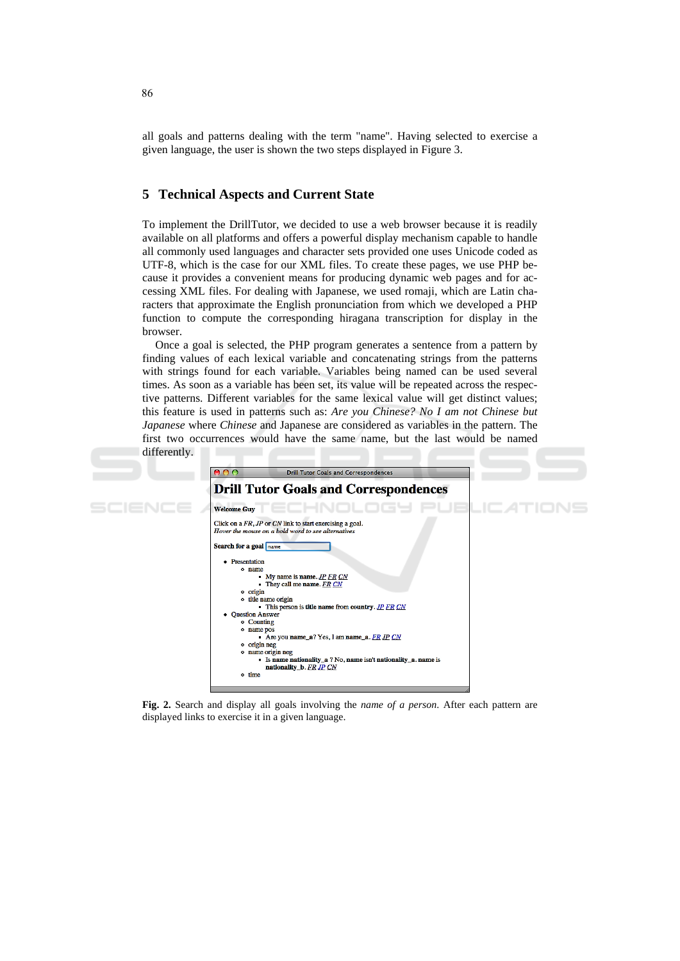all goals and patterns dealing with the term "name". Having selected to exercise a given language, the user is shown the two steps displayed in Figure 3.

# **5 Technical Aspects and Current State**

To implement the DrillTutor, we decided to use a web browser because it is readily available on all platforms and offers a powerful display mechanism capable to handle all commonly used languages and character sets provided one uses Unicode coded as UTF-8, which is the case for our XML files. To create these pages, we use PHP because it provides a convenient means for producing dynamic web pages and for accessing XML files. For dealing with Japanese, we used romaji, which are Latin characters that approximate the English pronunciation from which we developed a PHP function to compute the corresponding hiragana transcription for display in the browser.

Once a goal is selected, the PHP program generates a sentence from a pattern by finding values of each lexical variable and concatenating strings from the patterns with strings found for each variable. Variables being named can be used several times. As soon as a variable has been set, its value will be repeated across the respective patterns. Different variables for the same lexical value will get distinct values; this feature is used in patterns such as: Are you Chinese? No I am not Chinese but *Japanese* where *Chinese* and Japanese are considered as variables in the pattern. The first two occurrences would have the same name, but the last would be named differently.



Fig. 2. Search and display all goals involving the name of a person. After each pattern are displayed links to exercise it in a given language.

86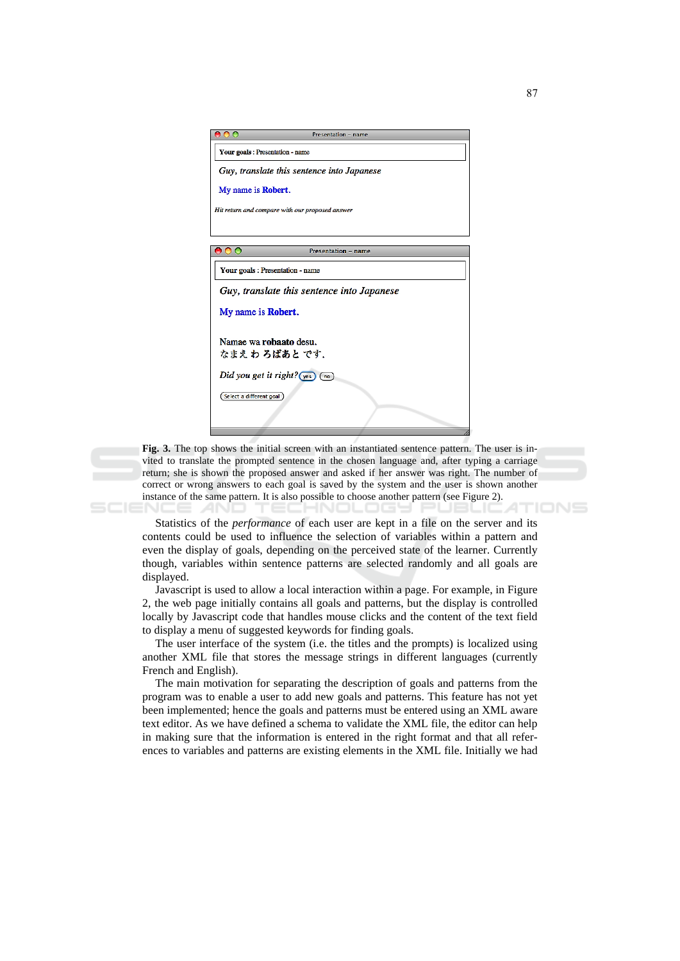| 000                              | Presentation - name                             |
|----------------------------------|-------------------------------------------------|
| Your goals : Presentation - name |                                                 |
|                                  | Guy, translate this sentence into Japanese      |
| My name is <b>Robert</b> .       |                                                 |
|                                  | Hit return and compare with our proposed answer |
|                                  |                                                 |
| 00                               | <b>Presentation - name</b>                      |
| Your goals : Presentation - name |                                                 |
|                                  | Guy, translate this sentence into Japanese      |
| My name is Robert.               |                                                 |
| Namae wa robaato desu.           |                                                 |
| なまえわ ろばあと です.                    |                                                 |
|                                  | Did you get it right? $\sqrt{(y_{es})}$ (no)    |
| Select a different goal          |                                                 |
|                                  |                                                 |
|                                  |                                                 |

Fig. 3. The top shows the initial screen with an instantiated sentence pattern. The user is invited to translate the prompted sentence in the chosen language and, after typing a carriage return; she is shown the proposed answer and asked if her answer was right. The number of correct or wrong answers to each goal is saved by the system and the user is shown another instance of the same pattern. It is also possible to choose another pattern (see Figure 2). TIONS

Statistics of the *performance* of each user are kept in a file on the server and its contents could be used to influence the selection of variables within a pattern and even the display of goals, depending on the perceived state of the learner. Currently though, variables within sentence patterns are selected randomly and all goals are displayed.

Javascript is used to allow a local interaction within a page. For example, in Figure 2, the web page initially contains all goals and patterns, but the display is controlled locally by Javascript code that handles mouse clicks and the content of the text field to display a menu of suggested keywords for finding goals.

The user interface of the system (i.e. the titles and the prompts) is localized using another XML file that stores the message strings in different languages (currently French and English).

The main motivation for separating the description of goals and patterns from the program was to enable a user to add new goals and patterns. This feature has not yet been implemented; hence the goals and patterns must be entered using an XML aware text editor. As we have defined a schema to validate the XML file, the editor can help in making sure that the information is entered in the right format and that all references to variables and patterns are existing elements in the XML file. Initially we had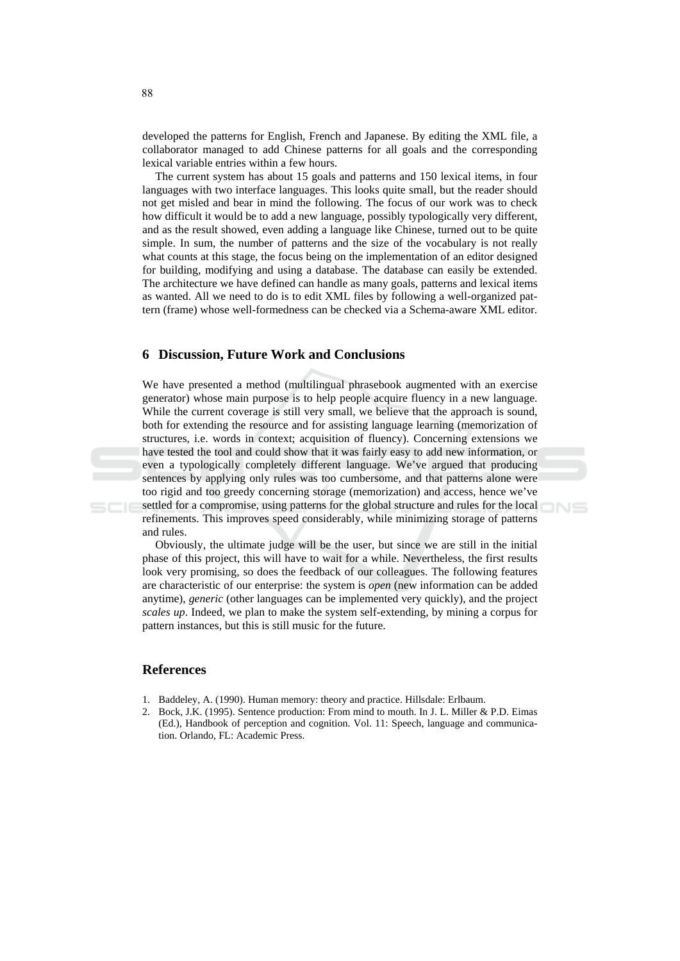developed the patterns for English, French and Japanese. By editing the XML file, a collaborator managed to add Chinese patterns for all goals and the corresponding lexical variable entries within a few hours.

The current system has about 15 goals and patterns and 150 lexical items, in four languages with two interface languages. This looks quite small, but the reader should not get misled and bear in mind the following. The focus of our work was to check how difficult it would be to add a new language, possibly typologically very different, and as the result showed, even adding a language like Chinese, turned out to be quite simple. In sum, the number of patterns and the size of the vocabulary is not really what counts at this stage, the focus being on the implementation of an editor designed for building, modifying and using a database. The database can easily be extended. The architecture we have defined can handle as many goals, patterns and lexical items as wanted. All we need to do is to edit XML files by following a well-organized pattern (frame) whose well-formedness can be checked via a Schema-aware XML editor.

#### **6 Discussion, Future Work and Conclusions**

We have presented a method (multilingual phrasebook augmented with an exercise generator) whose main purpose is to help people acquire fluency in a new language. While the current coverage is still very small, we believe that the approach is sound, both for extending the resource and for assisting language learning (memorization of structures, *i.e.* words in context; acquisition of fluency). Concerning extensions we have tested the tool and could show that it was fairly easy to add new information, or even a typologically completely different language. We've argued that producing sentences by applying only rules was too cumbersome, and that patterns alone were too rigid and too greedy concerning storage (memorization) and access, hence we've settled for a compromise, using patterns for the global structure and rules for the local refinements. This improves speed considerably, while minimizing storage of patterns and rules.

Obviously, the ultimate judge will be the user, but since we are still in the initial phase of this project, this will have to wait for a while. Nevertheless, the first results look very promising, so does the feedback of our colleagues. The following features are characteristic of our enterprise: the system is *open* (new information can be added anytime), *generic* (other languages can be implemented very quickly), and the project scales up. Indeed, we plan to make the system self-extending, by mining a corpus for pattern instances, but this is still music for the future.

### **References**

- 1. Baddeley, A. (1990). Human memory: theory and practice. Hillsdale: Erlbaum.
- 2. Bock, J.K. (1995). Sentence production: From mind to mouth. In J. L. Miller & P.D. Eimas (Ed.), Handbook of perception and cognition. Vol. 11: Speech, language and communication. Orlando, FL: Academic Press.